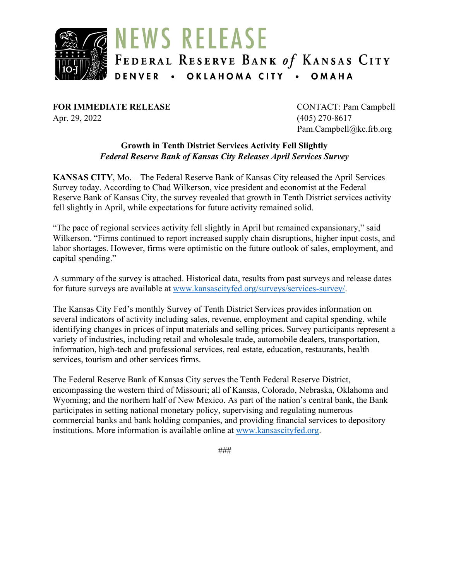

**FOR IMMEDIATE RELEASE** CONTACT: Pam Campbell Apr. 29, 2022 (405) 270-8617

Pam.Campbell@kc.frb.org

#### **Growth in Tenth District Services Activity Fell Slightly** *Federal Reserve Bank of Kansas City Releases April Services Survey*

**KANSAS CITY**, Mo. – The Federal Reserve Bank of Kansas City released the April Services Survey today. According to Chad Wilkerson, vice president and economist at the Federal Reserve Bank of Kansas City, the survey revealed that growth in Tenth District services activity fell slightly in April, while expectations for future activity remained solid.

"The pace of regional services activity fell slightly in April but remained expansionary," said Wilkerson. "Firms continued to report increased supply chain disruptions, higher input costs, and labor shortages. However, firms were optimistic on the future outlook of sales, employment, and capital spending."

A summary of the survey is attached. Historical data, results from past surveys and release dates for future surveys are available at [www.kansascityfed.org/surveys/services-survey/.](https://www.kansascityfed.org/surveys/services-survey/)

The Kansas City Fed's monthly Survey of Tenth District Services provides information on several indicators of activity including sales, revenue, employment and capital spending, while identifying changes in prices of input materials and selling prices. Survey participants represent a variety of industries, including retail and wholesale trade, automobile dealers, transportation, information, high-tech and professional services, real estate, education, restaurants, health services, tourism and other services firms.

The Federal Reserve Bank of Kansas City serves the Tenth Federal Reserve District, encompassing the western third of Missouri; all of Kansas, Colorado, Nebraska, Oklahoma and Wyoming; and the northern half of New Mexico. As part of the nation's central bank, the Bank participates in setting national monetary policy, supervising and regulating numerous commercial banks and bank holding companies, and providing financial services to depository institutions. More information is available online at [www.kansascityfed.org.](http://www.kansascityfed.org/)

*###*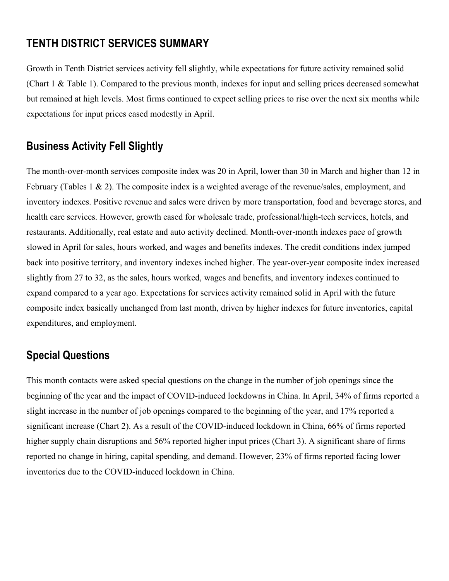## **TENTH DISTRICT SERVICES SUMMARY**

Growth in Tenth District services activity fell slightly, while expectations for future activity remained solid (Chart 1 & Table 1). Compared to the previous month, indexes for input and selling prices decreased somewhat but remained at high levels. Most firms continued to expect selling prices to rise over the next six months while expectations for input prices eased modestly in April.

# **Business Activity Fell Slightly**

The month-over-month services composite index was 20 in April, lower than 30 in March and higher than 12 in February (Tables 1 & 2). The composite index is a weighted average of the revenue/sales, employment, and inventory indexes. Positive revenue and sales were driven by more transportation, food and beverage stores, and health care services. However, growth eased for wholesale trade, professional/high-tech services, hotels, and restaurants. Additionally, real estate and auto activity declined. Month-over-month indexes pace of growth slowed in April for sales, hours worked, and wages and benefits indexes. The credit conditions index jumped back into positive territory, and inventory indexes inched higher. The year-over-year composite index increased slightly from 27 to 32, as the sales, hours worked, wages and benefits, and inventory indexes continued to expand compared to a year ago. Expectations for services activity remained solid in April with the future composite index basically unchanged from last month, driven by higher indexes for future inventories, capital expenditures, and employment.

## **Special Questions**

This month contacts were asked special questions on the change in the number of job openings since the beginning of the year and the impact of COVID-induced lockdowns in China. In April, 34% of firms reported a slight increase in the number of job openings compared to the beginning of the year, and 17% reported a significant increase (Chart 2). As a result of the COVID-induced lockdown in China, 66% of firms reported higher supply chain disruptions and 56% reported higher input prices (Chart 3). A significant share of firms reported no change in hiring, capital spending, and demand. However, 23% of firms reported facing lower inventories due to the COVID-induced lockdown in China.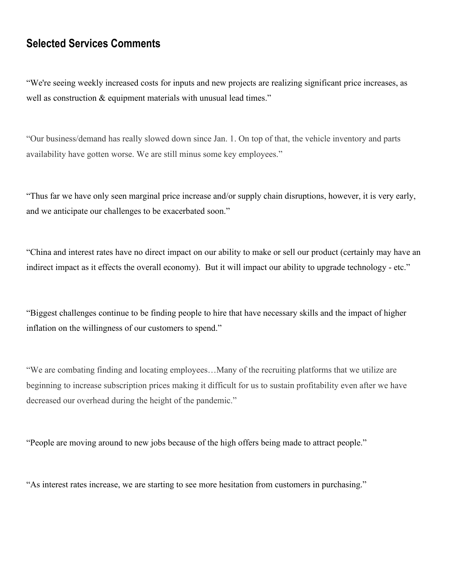## **Selected Services Comments**

"We're seeing weekly increased costs for inputs and new projects are realizing significant price increases, as well as construction & equipment materials with unusual lead times."

"Our business/demand has really slowed down since Jan. 1. On top of that, the vehicle inventory and parts availability have gotten worse. We are still minus some key employees."

"Thus far we have only seen marginal price increase and/or supply chain disruptions, however, it is very early, and we anticipate our challenges to be exacerbated soon."

"China and interest rates have no direct impact on our ability to make or sell our product (certainly may have an indirect impact as it effects the overall economy). But it will impact our ability to upgrade technology - etc."

"Biggest challenges continue to be finding people to hire that have necessary skills and the impact of higher inflation on the willingness of our customers to spend."

"We are combating finding and locating employees…Many of the recruiting platforms that we utilize are beginning to increase subscription prices making it difficult for us to sustain profitability even after we have decreased our overhead during the height of the pandemic."

"People are moving around to new jobs because of the high offers being made to attract people."

"As interest rates increase, we are starting to see more hesitation from customers in purchasing."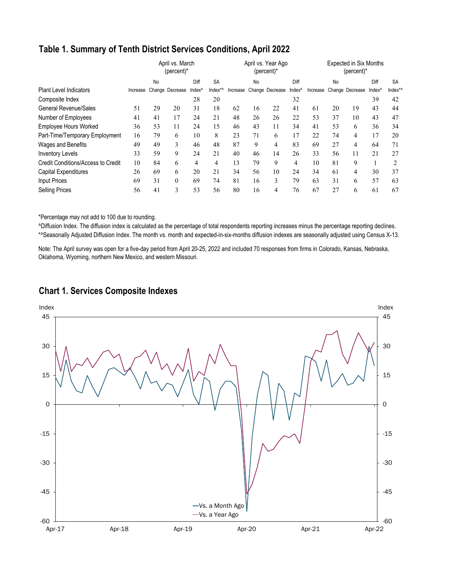### **Table 1. Summary of Tenth District Services Conditions, April 2022**

|                                    |          | April vs. March<br>$(percent)^*$ |                 | April vs. Year Ago<br>(percent)* |           |          |                | <b>Expected in Six Months</b><br>$(percent)^*$ |                    |    |    |                          |                    |                |
|------------------------------------|----------|----------------------------------|-----------------|----------------------------------|-----------|----------|----------------|------------------------------------------------|--------------------|----|----|--------------------------|--------------------|----------------|
|                                    |          | No                               |                 | Diff                             | <b>SA</b> |          | N <sub>o</sub> |                                                | Diff               |    | No |                          | Diff               | <b>SA</b>      |
| <b>Plant Level Indicators</b>      | Increase |                                  | Change Decrease | Index <sup>^</sup>               | Index*^   | Increase |                | Change Decrease                                | Index <sup>^</sup> |    |    | Increase Change Decrease | Index <sup>^</sup> | Index*/        |
| Composite Index                    |          |                                  |                 | 28                               | 20        |          |                |                                                | 32                 |    |    |                          | 39                 | 42             |
| <b>General Revenue/Sales</b>       | 51       | 29                               | 20              | 31                               | 18        | 62       | 16             | 22                                             | 41                 | 61 | 20 | 19                       | 43                 | 44             |
| Number of Employees                | 41       | 41                               | 17              | 24                               | 21        | 48       | 26             | 26                                             | 22                 | 53 | 37 | 10                       | 43                 | 47             |
| <b>Employee Hours Worked</b>       | 36       | 53                               | 11              | 24                               | 15        | 46       | 43             | 11                                             | 34                 | 41 | 53 | 6                        | 36                 | 34             |
| Part-Time/Temporary Employment     | 16       | 79                               | 6               | 10                               | 8         | 23       | 71             | 6                                              | 17                 | 22 | 74 | 4                        | 17                 | 20             |
| Wages and Benefits                 | 49       | 49                               | 3               | 46                               | 48        | 87       | 9              | 4                                              | 83                 | 69 | 27 | 4                        | 64                 | 71             |
| <b>Inventory Levels</b>            | 33       | 59                               | 9               | 24                               | 21        | 40       | 46             | 14                                             | 26                 | 33 | 56 | 11                       | 21                 | 27             |
| Credit Conditions/Access to Credit | 10       | 84                               | 6               | 4                                | 4         | 13       | 79             | 9                                              | 4                  | 10 | 81 | 9                        | 1                  | $\mathfrak{D}$ |
| Capital Expenditures               | 26       | 69                               | 6               | 20                               | 21        | 34       | 56             | 10                                             | 24                 | 34 | 61 | 4                        | 30                 | 37             |
| <b>Input Prices</b>                | 69       | 31                               | $\mathbf{0}$    | 69                               | 74        | 81       | 16             | 3                                              | 79                 | 63 | 31 | 6                        | 57                 | 63             |
| <b>Selling Prices</b>              | 56       | 41                               | 3               | 53                               | 56        | 80       | 16             | 4                                              | 76                 | 67 | 27 | 6                        | 61                 | 67             |

\*Percentage may not add to 100 due to rounding.

^Diffusion Index. The diffusion index is calculated as the percentage of total respondents reporting increases minus the percentage reporting declines. \*^Seasonally Adjusted Diffusion Index. The month vs. month and expected-in-six-months diffusion indexes are seasonally adjusted using Census X-13.

Note: The April survey was open for a five-day period from April 20-25, 2022 and included 70 responses from firms in Colorado, Kansas, Nebraska, Oklahoma, Wyoming, northern New Mexico, and western Missouri.

### **Chart 1. Services Composite Indexes**

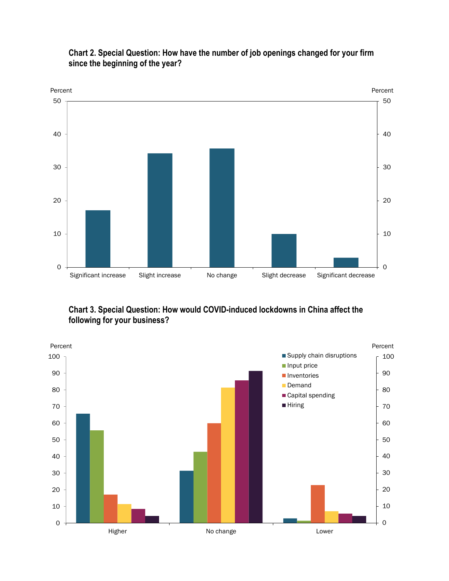

### **Chart 2. Special Question: How have the number of job openings changed for your firm since the beginning of the year?**

**Chart 3. Special Question: How would COVID-induced lockdowns in China affect the following for your business?**